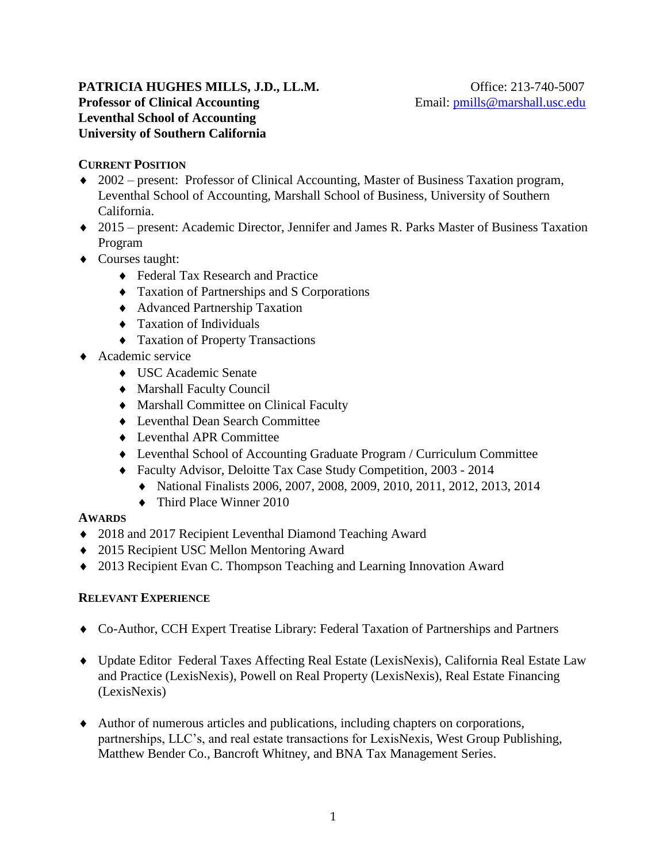#### **PATRICIA HUGHES MILLS, J.D., LL.M. Office: 213-740-5007 Professor of Clinical Accounting** Email: [pmills@marshall.usc.edu](mailto:pmills@marshall.usc.edu) **Leventhal School of Accounting University of Southern California**

### **CURRENT POSITION**

- 2002 present: Professor of Clinical Accounting, Master of Business Taxation program, Leventhal School of Accounting, Marshall School of Business, University of Southern California.
- 2015 present: Academic Director, Jennifer and James R. Parks Master of Business Taxation Program
- ◆ Courses taught:
	- ◆ Federal Tax Research and Practice
	- Taxation of Partnerships and S Corporations
	- Advanced Partnership Taxation
	- $\triangleleft$  Taxation of Individuals
	- Taxation of Property Transactions
- ◆ Academic service
	- USC Academic Senate
	- Marshall Faculty Council
	- Marshall Committee on Clinical Faculty
	- Leventhal Dean Search Committee
	- Leventhal APR Committee
	- Leventhal School of Accounting Graduate Program / Curriculum Committee
	- Faculty Advisor, Deloitte Tax Case Study Competition, 2003 2014
		- National Finalists 2006, 2007, 2008, 2009, 2010, 2011, 2012, 2013, 2014
		- ◆ Third Place Winner 2010

#### **AWARDS**

- 2018 and 2017 Recipient Leventhal Diamond Teaching Award
- ◆ 2015 Recipient USC Mellon Mentoring Award
- 2013 Recipient Evan C. Thompson Teaching and Learning Innovation Award

#### **RELEVANT EXPERIENCE**

- Co-Author, CCH Expert Treatise Library: Federal Taxation of Partnerships and Partners
- Update Editor Federal Taxes Affecting Real Estate (LexisNexis), California Real Estate Law and Practice (LexisNexis), Powell on Real Property (LexisNexis), Real Estate Financing (LexisNexis)
- Author of numerous articles and publications, including chapters on corporations, partnerships, LLC's, and real estate transactions for LexisNexis, West Group Publishing, Matthew Bender Co., Bancroft Whitney, and BNA Tax Management Series.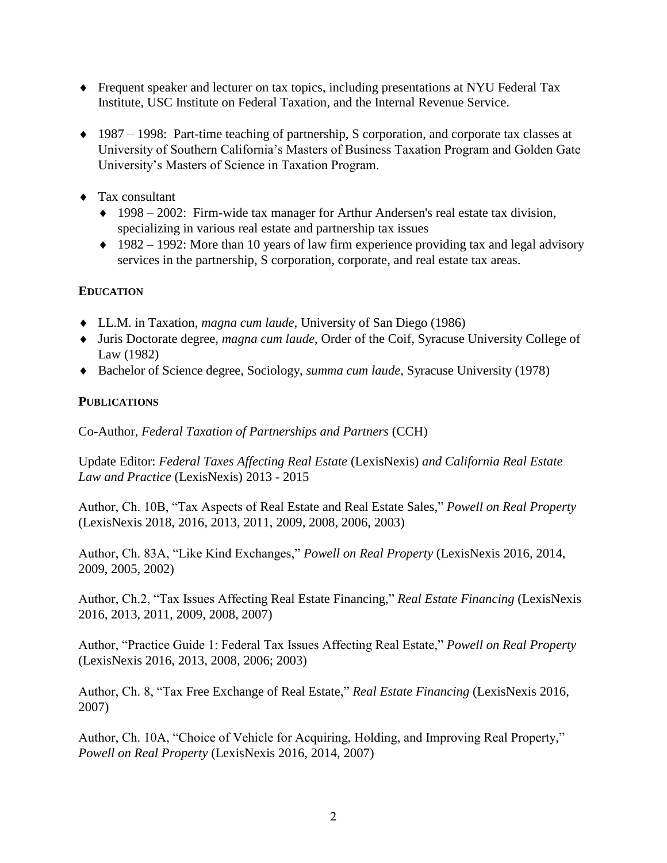- Frequent speaker and lecturer on tax topics, including presentations at NYU Federal Tax Institute, USC Institute on Federal Taxation, and the Internal Revenue Service.
- $1987 1998$ : Part-time teaching of partnership, S corporation, and corporate tax classes at University of Southern California's Masters of Business Taxation Program and Golden Gate University's Masters of Science in Taxation Program.
- Tax consultant
	- 1998 2002: Firm-wide tax manager for Arthur Andersen's real estate tax division, specializing in various real estate and partnership tax issues
	- $\triangle$  1982 1992: More than 10 years of law firm experience providing tax and legal advisory services in the partnership, S corporation, corporate, and real estate tax areas.

# **EDUCATION**

- LL.M. in Taxation, *magna cum laude*, University of San Diego (1986)
- Juris Doctorate degree, *magna cum laude*, Order of the Coif, Syracuse University College of Law (1982)
- Bachelor of Science degree, Sociology, *summa cum laude*, Syracuse University (1978)

## **PUBLICATIONS**

Co-Author, *Federal Taxation of Partnerships and Partners* (CCH)

Update Editor: *Federal Taxes Affecting Real Estate* (LexisNexis) *and California Real Estate Law and Practice* (LexisNexis) 2013 - 2015

Author, Ch. 10B, "Tax Aspects of Real Estate and Real Estate Sales," *Powell on Real Property* (LexisNexis 2018, 2016, 2013, 2011, 2009, 2008, 2006, 2003)

Author, Ch. 83A, "Like Kind Exchanges," *Powell on Real Property* (LexisNexis 2016, 2014, 2009, 2005, 2002)

Author, Ch.2, "Tax Issues Affecting Real Estate Financing," *Real Estate Financing* (LexisNexis 2016, 2013, 2011, 2009, 2008, 2007)

Author, "Practice Guide 1: Federal Tax Issues Affecting Real Estate," *Powell on Real Property* (LexisNexis 2016, 2013, 2008, 2006; 2003)

Author, Ch. 8, "Tax Free Exchange of Real Estate," *Real Estate Financing* (LexisNexis 2016, 2007)

Author, Ch. 10A, "Choice of Vehicle for Acquiring, Holding, and Improving Real Property," *Powell on Real Property* (LexisNexis 2016, 2014, 2007)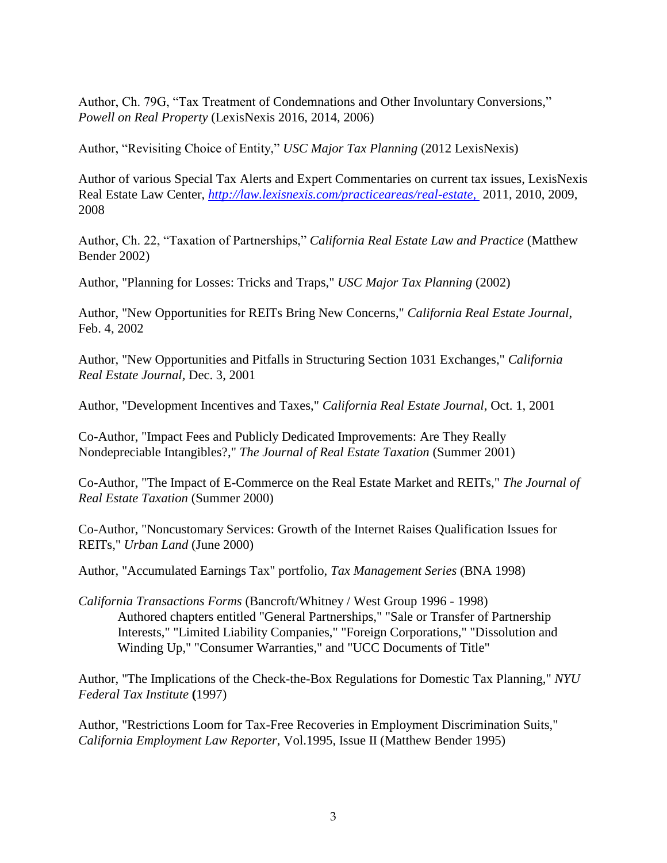Author, Ch. 79G, "Tax Treatment of Condemnations and Other Involuntary Conversions," *Powell on Real Property* (LexisNexis 2016, 2014, 2006)

Author, "Revisiting Choice of Entity," *USC Major Tax Planning* (2012 LexisNexis)

Author of various Special Tax Alerts and Expert Commentaries on current tax issues, LexisNexis Real Estate Law Center, *<http://law.lexisnexis.com/practiceareas/real-estate,>*2011, 2010, 2009, 2008

Author, Ch. 22, "Taxation of Partnerships," *California Real Estate Law and Practice* (Matthew Bender 2002)

Author, "Planning for Losses: Tricks and Traps," *USC Major Tax Planning* (2002)

Author, "New Opportunities for REITs Bring New Concerns," *California Real Estate Journal*, Feb. 4, 2002

Author, "New Opportunities and Pitfalls in Structuring Section 1031 Exchanges," *California Real Estate Journal,* Dec. 3, 2001

Author, "Development Incentives and Taxes," *California Real Estate Journal*, Oct. 1, 2001

Co-Author, "Impact Fees and Publicly Dedicated Improvements: Are They Really Nondepreciable Intangibles?," *The Journal of Real Estate Taxation* (Summer 2001)

Co-Author, "The Impact of E-Commerce on the Real Estate Market and REITs," *The Journal of Real Estate Taxation* (Summer 2000)

Co-Author, "Noncustomary Services: Growth of the Internet Raises Qualification Issues for REITs," *Urban Land* (June 2000)

Author, "Accumulated Earnings Tax" portfolio, *Tax Management Series* (BNA 1998)

*California Transactions Forms* (Bancroft/Whitney / West Group 1996 - 1998) Authored chapters entitled "General Partnerships," "Sale or Transfer of Partnership Interests," "Limited Liability Companies," "Foreign Corporations," "Dissolution and Winding Up," "Consumer Warranties," and "UCC Documents of Title"

Author, "The Implications of the Check-the-Box Regulations for Domestic Tax Planning," *NYU Federal Tax Institute* **(**1997)

Author, "Restrictions Loom for Tax-Free Recoveries in Employment Discrimination Suits," *California Employment Law Reporter*, Vol.1995, Issue II (Matthew Bender 1995)